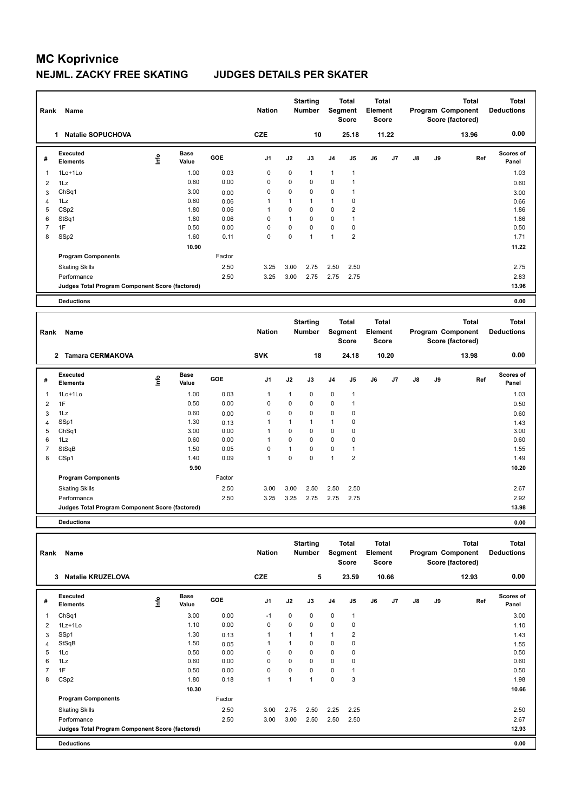| Rank           | Name                                            |      |                      |        | <b>Nation</b>  |             | <b>Starting</b><br><b>Number</b> |                | <b>Total</b><br>Segment<br><b>Score</b> | <b>Total</b><br>Element<br>Score |       |               |    | <b>Total</b><br>Program Component<br>Score (factored) | <b>Total</b><br><b>Deductions</b> |
|----------------|-------------------------------------------------|------|----------------------|--------|----------------|-------------|----------------------------------|----------------|-----------------------------------------|----------------------------------|-------|---------------|----|-------------------------------------------------------|-----------------------------------|
|                | <b>Natalie SOPUCHOVA</b><br>1                   |      |                      |        | <b>CZE</b>     |             | 10                               |                | 25.18                                   |                                  | 11.22 |               |    | 13.96                                                 | 0.00                              |
| #              | <b>Executed</b><br><b>Elements</b>              | lnfo | <b>Base</b><br>Value | GOE    | J <sub>1</sub> | J2          | J3                               | J <sub>4</sub> | J5                                      | J6                               | J7    | $\mathsf{J}8$ | J9 | Ref                                                   | <b>Scores of</b><br>Panel         |
| 1              | 1Lo+1Lo                                         |      | 1.00                 | 0.03   | $\mathbf 0$    | 0           | $\mathbf{1}$                     | $\mathbf{1}$   | $\overline{1}$                          |                                  |       |               |    |                                                       | 1.03                              |
| 2              | 1Lz                                             |      | 0.60                 | 0.00   | 0              | 0           | $\mathbf 0$                      | $\mathbf 0$    | $\overline{1}$                          |                                  |       |               |    |                                                       | 0.60                              |
| 3              | ChSq1                                           |      | 3.00                 | 0.00   | $\mathbf 0$    | $\Omega$    | $\mathbf 0$                      | $\mathbf 0$    | $\overline{1}$                          |                                  |       |               |    |                                                       | 3.00                              |
| 4              | 1Lz                                             |      | 0.60                 | 0.06   | 1              | 1           | $\mathbf{1}$                     | $\mathbf{1}$   | 0                                       |                                  |       |               |    |                                                       | 0.66                              |
| 5              | CS <sub>p2</sub>                                |      | 1.80                 | 0.06   | 1              | 0           | 0                                | 0              | $\overline{2}$                          |                                  |       |               |    |                                                       | 1.86                              |
| 6              | StSq1                                           |      | 1.80                 | 0.06   | 0              | 1           | $\Omega$                         | $\mathbf 0$    | $\mathbf{1}$                            |                                  |       |               |    |                                                       | 1.86                              |
| $\overline{7}$ | 1F                                              |      | 0.50                 | 0.00   | $\Omega$       | $\mathbf 0$ | $\Omega$                         | $\mathbf 0$    | 0                                       |                                  |       |               |    |                                                       | 0.50                              |
| 8              | SSp2                                            |      | 1.60                 | 0.11   | $\mathbf 0$    | 0           | $\mathbf{1}$                     | $\mathbf{1}$   | $\overline{2}$                          |                                  |       |               |    |                                                       | 1.71                              |
|                |                                                 |      | 10.90                |        |                |             |                                  |                |                                         |                                  |       |               |    |                                                       | 11.22                             |
|                | <b>Program Components</b>                       |      |                      | Factor |                |             |                                  |                |                                         |                                  |       |               |    |                                                       |                                   |
|                | <b>Skating Skills</b>                           |      |                      | 2.50   | 3.25           | 3.00        | 2.75                             | 2.50           | 2.50                                    |                                  |       |               |    |                                                       | 2.75                              |
|                | Performance                                     |      |                      | 2.50   | 3.25           | 3.00        | 2.75                             | 2.75           | 2.75                                    |                                  |       |               |    |                                                       | 2.83                              |
|                | Judges Total Program Component Score (factored) |      |                      |        |                |             |                                  |                |                                         |                                  |       |               |    |                                                       | 13.96                             |
|                | <b>Deductions</b>                               |      |                      |        |                |             |                                  |                |                                         |                                  |       |               |    |                                                       | 0.00                              |
|                |                                                 |      |                      |        |                |             |                                  |                |                                         |                                  |       |               |    |                                                       |                                   |
| Rank           | Name                                            |      |                      |        | <b>Nation</b>  |             | <b>Starting</b><br><b>Number</b> |                | <b>Total</b><br>Segment<br><b>Score</b> | <b>Total</b><br>Element<br>Score |       |               |    | <b>Total</b><br>Program Component<br>Score (factored) | <b>Total</b><br><b>Deductions</b> |
|                | <b>Tamara CERMAKOVA</b><br>$\mathbf{2}$         |      |                      |        | <b>SVK</b>     |             | 18                               |                | 24.18                                   |                                  | 10.20 |               |    | 13.98                                                 | 0.00                              |
|                |                                                 |      |                      |        |                |             |                                  |                |                                         |                                  |       |               |    |                                                       |                                   |

| # | Executed<br><b>Elements</b>                     | lnfo | <b>Base</b><br>Value | <b>GOE</b> | J <sub>1</sub> | J2   | J3          | J <sub>4</sub> | J5             | J6 | J7 | J8 | J9 | Ref | Scores of<br>Panel |
|---|-------------------------------------------------|------|----------------------|------------|----------------|------|-------------|----------------|----------------|----|----|----|----|-----|--------------------|
| 1 | $1$ Lo $+1$ Lo                                  |      | 1.00                 | 0.03       | 1              | 1    | $\mathbf 0$ | $\mathbf 0$    | $\overline{1}$ |    |    |    |    |     | 1.03               |
| 2 | 1F                                              |      | 0.50                 | 0.00       | 0              | 0    | $\mathbf 0$ | 0              | 1              |    |    |    |    |     | 0.50               |
| 3 | 1Lz                                             |      | 0.60                 | 0.00       | 0              | 0    | $\mathbf 0$ | 0              | 0              |    |    |    |    |     | 0.60               |
| 4 | SSp1                                            |      | 1.30                 | 0.13       | 1              | 1    |             | $\overline{1}$ | 0              |    |    |    |    |     | 1.43               |
| 5 | ChSq1                                           |      | 3.00                 | 0.00       | 1              | 0    | $\mathbf 0$ | 0              | 0              |    |    |    |    |     | 3.00               |
| 6 | 1Lz                                             |      | 0.60                 | 0.00       | 1              | 0    | $\mathbf 0$ | $\mathbf 0$    | 0              |    |    |    |    |     | 0.60               |
|   | StSqB                                           |      | 1.50                 | 0.05       | 0              | 1    | 0           | $\mathbf 0$    | -1             |    |    |    |    |     | 1.55               |
| 8 | CSp1                                            |      | 1.40                 | 0.09       | 1              | 0    | 0           | $\overline{1}$ | $\overline{2}$ |    |    |    |    |     | 1.49               |
|   |                                                 |      | 9.90                 |            |                |      |             |                |                |    |    |    |    |     | 10.20              |
|   | <b>Program Components</b>                       |      |                      | Factor     |                |      |             |                |                |    |    |    |    |     |                    |
|   | <b>Skating Skills</b>                           |      |                      | 2.50       | 3.00           | 3.00 | 2.50        | 2.50           | 2.50           |    |    |    |    |     | 2.67               |
|   | Performance                                     |      |                      | 2.50       | 3.25           | 3.25 | 2.75        | 2.75           | 2.75           |    |    |    |    |     | 2.92               |
|   | Judges Total Program Component Score (factored) |      |                      |            |                |      |             |                |                |    |    |    |    |     | 13.98              |
|   | <b>Deductions</b>                               |      |                      |            |                |      |             |                |                |    |    |    |    |     | 0.00               |

| Rank | Name                                            |            |                      |            | <b>Nation</b>  |          | <b>Starting</b><br>Number | Segment        | <b>Total</b><br><b>Score</b> | <b>Total</b><br><b>Element</b><br><b>Score</b> |       |               |    | Total<br>Program Component<br>Score (factored) | <b>Total</b><br><b>Deductions</b> |
|------|-------------------------------------------------|------------|----------------------|------------|----------------|----------|---------------------------|----------------|------------------------------|------------------------------------------------|-------|---------------|----|------------------------------------------------|-----------------------------------|
|      | <b>Natalie KRUZELOVA</b><br>3                   |            |                      |            | <b>CZE</b>     |          | 5                         |                | 23.59                        |                                                | 10.66 |               |    | 12.93                                          | 0.00                              |
| #    | Executed<br><b>Elements</b>                     | <b>Lin</b> | <b>Base</b><br>Value | <b>GOE</b> | J <sub>1</sub> | J2       | J3                        | J <sub>4</sub> | J <sub>5</sub>               | J6                                             | J7    | $\mathsf{J}8$ | J9 | Ref                                            | Scores of<br>Panel                |
|      | ChSq1                                           |            | 3.00                 | 0.00       | $-1$           | 0        | 0                         | $\mathbf 0$    | $\mathbf{1}$                 |                                                |       |               |    |                                                | 3.00                              |
| 2    | 1Lz+1Lo                                         |            | 1.10                 | 0.00       | $\mathbf 0$    | 0        | 0                         | $\mathbf 0$    | 0                            |                                                |       |               |    |                                                | 1.10                              |
| 3    | SSp1                                            |            | 1.30                 | 0.13       | $\overline{1}$ | 1        | 1                         | $\mathbf{1}$   | $\overline{2}$               |                                                |       |               |    |                                                | 1.43                              |
| 4    | StSqB                                           |            | 1.50                 | 0.05       |                |          | $\Omega$                  | 0              | 0                            |                                                |       |               |    |                                                | 1.55                              |
| 5    | 1Lo                                             |            | 0.50                 | 0.00       | 0              | $\Omega$ | $\Omega$                  | $\mathbf 0$    | 0                            |                                                |       |               |    |                                                | 0.50                              |
| 6    | 1Lz                                             |            | 0.60                 | 0.00       | 0              | 0        | 0                         | $\mathbf 0$    | 0                            |                                                |       |               |    |                                                | 0.60                              |
|      | 1F                                              |            | 0.50                 | 0.00       | $\mathbf 0$    | 0        | 0                         | $\mathbf 0$    |                              |                                                |       |               |    |                                                | 0.50                              |
| 8    | CSp2                                            |            | 1.80                 | 0.18       | $\mathbf{1}$   | 1        | 1                         | 0              | 3                            |                                                |       |               |    |                                                | 1.98                              |
|      |                                                 |            | 10.30                |            |                |          |                           |                |                              |                                                |       |               |    |                                                | 10.66                             |
|      | <b>Program Components</b>                       |            |                      | Factor     |                |          |                           |                |                              |                                                |       |               |    |                                                |                                   |
|      | <b>Skating Skills</b>                           |            |                      | 2.50       | 3.00           | 2.75     | 2.50                      | 2.25           | 2.25                         |                                                |       |               |    |                                                | 2.50                              |
|      | Performance                                     |            |                      | 2.50       | 3.00           | 3.00     | 2.50                      | 2.50           | 2.50                         |                                                |       |               |    |                                                | 2.67                              |
|      | Judges Total Program Component Score (factored) |            |                      |            |                |          |                           |                |                              |                                                |       |               |    |                                                | 12.93                             |
|      | <b>Deductions</b>                               |            |                      |            |                |          |                           |                |                              |                                                |       |               |    |                                                | 0.00                              |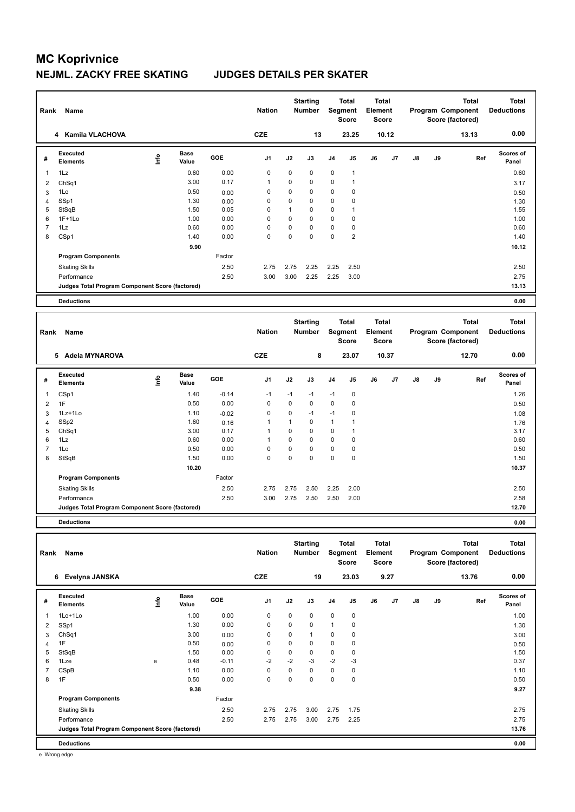| Rank           | Name                                            |      |                      |        | <b>Nation</b>  |             | <b>Starting</b><br><b>Number</b> |                | <b>Total</b><br>Segment<br><b>Score</b> | <b>Total</b><br>Element<br>Score        |       |               |    | <b>Total</b><br>Program Component<br>Score (factored) | <b>Total</b><br><b>Deductions</b> |
|----------------|-------------------------------------------------|------|----------------------|--------|----------------|-------------|----------------------------------|----------------|-----------------------------------------|-----------------------------------------|-------|---------------|----|-------------------------------------------------------|-----------------------------------|
|                | <b>Kamila VLACHOVA</b><br>4                     |      |                      |        | <b>CZE</b>     |             | 13                               |                | 23.25                                   |                                         | 10.12 |               |    | 13.13                                                 | 0.00                              |
| #              | Executed<br><b>Elements</b>                     | lnfo | <b>Base</b><br>Value | GOE    | J <sub>1</sub> | J2          | J3                               | J <sub>4</sub> | J <sub>5</sub>                          | J6                                      | J7    | $\mathsf{J}8$ | J9 | Ref                                                   | Scores of<br>Panel                |
| 1              | 1Lz                                             |      | 0.60                 | 0.00   | 0              | $\mathbf 0$ | $\mathbf 0$                      | $\mathbf 0$    | $\mathbf{1}$                            |                                         |       |               |    |                                                       | 0.60                              |
| 2              | ChSq1                                           |      | 3.00                 | 0.17   | $\overline{1}$ | 0           | 0                                | 0              | 1                                       |                                         |       |               |    |                                                       | 3.17                              |
| 3              | 1Lo                                             |      | 0.50                 | 0.00   | 0              | 0           | 0                                | 0              | 0                                       |                                         |       |               |    |                                                       | 0.50                              |
| $\overline{4}$ | SSp1                                            |      | 1.30                 | 0.00   | 0              | $\Omega$    | 0                                | 0              | 0                                       |                                         |       |               |    |                                                       | 1.30                              |
| 5              | StSqB                                           |      | 1.50                 | 0.05   | 0              | 1           | $\mathbf 0$                      | $\mathbf 0$    | 1                                       |                                         |       |               |    |                                                       | 1.55                              |
| 6              | $1F+1Lo$                                        |      | 1.00                 | 0.00   | $\Omega$       | 0           | $\Omega$                         | $\mathbf 0$    | 0                                       |                                         |       |               |    |                                                       | 1.00                              |
| $\overline{7}$ | 1Lz                                             |      | 0.60                 | 0.00   | 0              | 0           | 0                                | 0              | 0                                       |                                         |       |               |    |                                                       | 0.60                              |
| 8              | CSp1                                            |      | 1.40                 | 0.00   | $\mathbf 0$    | $\mathbf 0$ | $\mathbf 0$                      | $\mathbf 0$    | $\overline{2}$                          |                                         |       |               |    |                                                       | 1.40                              |
|                |                                                 |      | 9.90                 |        |                |             |                                  |                |                                         |                                         |       |               |    |                                                       | 10.12                             |
|                | <b>Program Components</b>                       |      |                      | Factor |                |             |                                  |                |                                         |                                         |       |               |    |                                                       |                                   |
|                | <b>Skating Skills</b>                           |      |                      | 2.50   | 2.75           | 2.75        | 2.25                             | 2.25           | 2.50                                    |                                         |       |               |    |                                                       | 2.50                              |
|                | Performance                                     |      |                      | 2.50   | 3.00           | 3.00        | 2.25                             | 2.25           | 3.00                                    |                                         |       |               |    |                                                       | 2.75                              |
|                | Judges Total Program Component Score (factored) |      |                      |        |                |             |                                  |                |                                         |                                         |       |               |    |                                                       | 13.13                             |
|                | <b>Deductions</b>                               |      |                      |        |                |             |                                  |                |                                         |                                         |       |               |    |                                                       | 0.00                              |
|                |                                                 |      |                      |        |                |             |                                  |                |                                         |                                         |       |               |    |                                                       |                                   |
| Rank           | Name                                            |      |                      |        | <b>Nation</b>  |             | <b>Starting</b><br><b>Number</b> |                | <b>Total</b><br>Segment<br><b>Score</b> | <b>Total</b><br>Element<br><b>Score</b> |       |               |    | <b>Total</b><br>Program Component<br>Score (factored) | <b>Total</b><br><b>Deductions</b> |

|                |                                                 |      |               |         |                |      |             |                | ocore       | ocore |       |    |    | Score (iactoreu) |                    |
|----------------|-------------------------------------------------|------|---------------|---------|----------------|------|-------------|----------------|-------------|-------|-------|----|----|------------------|--------------------|
|                | 5 Adela MYNAROVA                                |      |               |         | <b>CZE</b>     |      | 8           |                | 23.07       |       | 10.37 |    |    | 12.70            | 0.00               |
| #              | <b>Executed</b><br><b>Elements</b>              | lnfo | Base<br>Value | GOE     | J <sub>1</sub> | J2   | J3          | J <sub>4</sub> | J5          | J6    | J7    | J8 | J9 | Ref              | Scores of<br>Panel |
| $\mathbf{1}$   | CSp1                                            |      | 1.40          | $-0.14$ | $-1$           | $-1$ | $-1$        | $-1$           | $\mathbf 0$ |       |       |    |    |                  | 1.26               |
| $\overline{2}$ | 1F                                              |      | 0.50          | 0.00    | 0              | 0    | $\mathbf 0$ | $\mathbf 0$    | 0           |       |       |    |    |                  | 0.50               |
| 3              | 1Lz+1Lo                                         |      | 1.10          | $-0.02$ | 0              | 0    | $-1$        | $-1$           | 0           |       |       |    |    |                  | 1.08               |
| 4              | SSp2                                            |      | 1.60          | 0.16    | 1              | 1    | 0           | 1              | 1           |       |       |    |    |                  | 1.76               |
| 5              | Ch <sub>Sq1</sub>                               |      | 3.00          | 0.17    | 1              | 0    | 0           | 0              | 1           |       |       |    |    |                  | 3.17               |
| 6              | 1Lz                                             |      | 0.60          | 0.00    | 1              | 0    | $\mathbf 0$ | 0              | 0           |       |       |    |    |                  | 0.60               |
|                | 1Lo                                             |      | 0.50          | 0.00    | 0              | 0    | 0           | 0              | 0           |       |       |    |    |                  | 0.50               |
| 8              | StSqB                                           |      | 1.50          | 0.00    | 0              | 0    | 0           | 0              | 0           |       |       |    |    |                  | 1.50               |
|                |                                                 |      | 10.20         |         |                |      |             |                |             |       |       |    |    |                  | 10.37              |
|                | <b>Program Components</b>                       |      |               | Factor  |                |      |             |                |             |       |       |    |    |                  |                    |
|                | <b>Skating Skills</b>                           |      |               | 2.50    | 2.75           | 2.75 | 2.50        | 2.25           | 2.00        |       |       |    |    |                  | 2.50               |
|                | Performance                                     |      |               | 2.50    | 3.00           | 2.75 | 2.50        | 2.50           | 2.00        |       |       |    |    |                  | 2.58               |
|                | Judges Total Program Component Score (factored) |      |               |         |                |      |             |                |             |       |       |    |    |                  | 12.70              |
|                |                                                 |      |               |         |                |      |             |                |             |       |       |    |    |                  |                    |

**Deductions 0.00**

| Rank | Name                                            |             |                      |            | <b>Nation</b>  |             | <b>Starting</b><br><b>Number</b> | Segment        | <b>Total</b><br><b>Score</b> | <b>Total</b><br>Element<br><b>Score</b> |                |    |    | <b>Total</b><br>Program Component<br>Score (factored) | <b>Total</b><br><b>Deductions</b> |
|------|-------------------------------------------------|-------------|----------------------|------------|----------------|-------------|----------------------------------|----------------|------------------------------|-----------------------------------------|----------------|----|----|-------------------------------------------------------|-----------------------------------|
|      | Evelyna JANSKA<br>6                             |             |                      |            | <b>CZE</b>     |             | 19                               |                | 23.03                        |                                         | 9.27           |    |    | 13.76                                                 | 0.00                              |
| #    | <b>Executed</b><br><b>Elements</b>              | <u>info</u> | <b>Base</b><br>Value | <b>GOE</b> | J <sub>1</sub> | J2          | J3                               | J <sub>4</sub> | J5                           | J6                                      | J <sub>7</sub> | J8 | J9 | Ref                                                   | Scores of<br>Panel                |
| 1    | 1Lo+1Lo                                         |             | 1.00                 | 0.00       | $\mathbf 0$    | $\mathbf 0$ | $\Omega$                         | $\mathbf 0$    | $\mathbf 0$                  |                                         |                |    |    |                                                       | 1.00                              |
| 2    | SSp1                                            |             | 1.30                 | 0.00       | 0              | 0           | 0                                | 1              | 0                            |                                         |                |    |    |                                                       | 1.30                              |
| 3    | ChSq1                                           |             | 3.00                 | 0.00       | 0              | 0           | 1                                | 0              | 0                            |                                         |                |    |    |                                                       | 3.00                              |
| 4    | 1F                                              |             | 0.50                 | 0.00       | 0              | $\Omega$    | 0                                | 0              | 0                            |                                         |                |    |    |                                                       | 0.50                              |
| 5    | StSqB                                           |             | 1.50                 | 0.00       | 0              | 0           | 0                                | 0              | 0                            |                                         |                |    |    |                                                       | 1.50                              |
| 6    | 1Lze                                            | e           | 0.48                 | $-0.11$    | $-2$           | $-2$        | $-3$                             | $-2$           | $-3$                         |                                         |                |    |    |                                                       | 0.37                              |
|      | CSpB                                            |             | 1.10                 | 0.00       | 0              | 0           | 0                                | $\mathbf 0$    | 0                            |                                         |                |    |    |                                                       | 1.10                              |
| 8    | 1F                                              |             | 0.50                 | 0.00       | $\mathbf 0$    | 0           | 0                                | $\pmb{0}$      | 0                            |                                         |                |    |    |                                                       | 0.50                              |
|      |                                                 |             | 9.38                 |            |                |             |                                  |                |                              |                                         |                |    |    |                                                       | 9.27                              |
|      | <b>Program Components</b>                       |             |                      | Factor     |                |             |                                  |                |                              |                                         |                |    |    |                                                       |                                   |
|      | <b>Skating Skills</b>                           |             |                      | 2.50       | 2.75           | 2.75        | 3.00                             | 2.75           | 1.75                         |                                         |                |    |    |                                                       | 2.75                              |
|      | Performance                                     |             |                      | 2.50       | 2.75           | 2.75        | 3.00                             | 2.75           | 2.25                         |                                         |                |    |    |                                                       | 2.75                              |
|      | Judges Total Program Component Score (factored) |             |                      |            |                |             |                                  |                |                              |                                         |                |    |    |                                                       | 13.76                             |
|      | <b>Deductions</b>                               |             |                      |            |                |             |                                  |                |                              |                                         |                |    |    |                                                       | 0.00                              |

e Wrong edge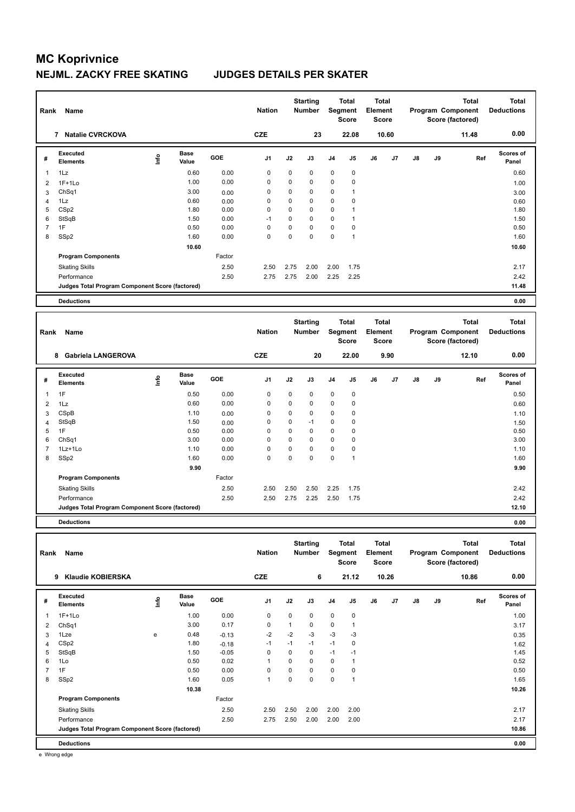| Rank           | Name                                            |      |                      |        | <b>Nation</b>  |      | <b>Starting</b><br><b>Number</b> |                | <b>Total</b><br>Segment<br>Score               | <b>Total</b><br>Element<br><b>Score</b> |       |    |    | <b>Total</b><br>Program Component<br>Score (factored) | <b>Total</b><br><b>Deductions</b> |
|----------------|-------------------------------------------------|------|----------------------|--------|----------------|------|----------------------------------|----------------|------------------------------------------------|-----------------------------------------|-------|----|----|-------------------------------------------------------|-----------------------------------|
|                | 7 Natalie CVRCKOVA                              |      |                      |        | <b>CZE</b>     |      | 23                               |                | 22.08                                          |                                         | 10.60 |    |    | 11.48                                                 | 0.00                              |
| #              | <b>Executed</b><br><b>Elements</b>              | ١nfo | <b>Base</b><br>Value | GOE    | J <sub>1</sub> | J2   | J3                               | J <sub>4</sub> | J <sub>5</sub>                                 | J6                                      | J7    | J8 | J9 | Ref                                                   | Scores of<br>Panel                |
| 1              | 1Lz                                             |      | 0.60                 | 0.00   | 0              | 0    | 0                                | 0              | 0                                              |                                         |       |    |    |                                                       | 0.60                              |
| $\overline{2}$ | $1F+1Lo$                                        |      | 1.00                 | 0.00   | 0              | 0    | $\mathbf 0$                      | 0              | $\mathbf 0$                                    |                                         |       |    |    |                                                       | 1.00                              |
| 3              | ChSq1                                           |      | 3.00                 | 0.00   | 0              | 0    | 0                                | $\mathbf 0$    | $\overline{1}$                                 |                                         |       |    |    |                                                       | 3.00                              |
| $\overline{4}$ | 1Lz                                             |      | 0.60                 | 0.00   | 0              | 0    | $\mathbf 0$                      | $\mathbf 0$    | 0                                              |                                         |       |    |    |                                                       | 0.60                              |
| 5              | CSp2                                            |      | 1.80                 | 0.00   | $\mathbf 0$    | 0    | $\mathbf 0$                      | 0              | 1                                              |                                         |       |    |    |                                                       | 1.80                              |
| 6              | StSqB                                           |      | 1.50                 | 0.00   | $-1$           | 0    | $\mathbf 0$                      | $\mathbf 0$    | $\mathbf{1}$                                   |                                         |       |    |    |                                                       | 1.50                              |
| $\overline{7}$ | 1F                                              |      | 0.50                 | 0.00   | 0              | 0    | $\mathbf 0$                      | 0              | 0                                              |                                         |       |    |    |                                                       | 0.50                              |
| 8              | SSp2                                            |      | 1.60                 | 0.00   | 0              | 0    | $\mathbf 0$                      | $\mathbf 0$    | $\overline{1}$                                 |                                         |       |    |    |                                                       | 1.60                              |
|                |                                                 |      | 10.60                |        |                |      |                                  |                |                                                |                                         |       |    |    |                                                       | 10.60                             |
|                | <b>Program Components</b>                       |      |                      | Factor |                |      |                                  |                |                                                |                                         |       |    |    |                                                       |                                   |
|                | <b>Skating Skills</b>                           |      |                      | 2.50   | 2.50           | 2.75 | 2.00                             | 2.00           | 1.75                                           |                                         |       |    |    |                                                       | 2.17                              |
|                | Performance                                     |      |                      | 2.50   | 2.75           | 2.75 | 2.00                             | 2.25           | 2.25                                           |                                         |       |    |    |                                                       | 2.42                              |
|                | Judges Total Program Component Score (factored) |      |                      |        |                |      |                                  |                |                                                |                                         |       |    |    |                                                       | 11.48                             |
|                | <b>Deductions</b>                               |      |                      |        |                |      |                                  |                |                                                |                                         |       |    |    |                                                       | 0.00                              |
|                |                                                 |      |                      |        |                |      |                                  |                |                                                |                                         |       |    |    |                                                       |                                   |
| Rank           | Name                                            |      |                      |        | <b>Nation</b>  |      | <b>Starting</b><br><b>Number</b> |                | <b>Total</b><br><b>Segment</b><br><b>Score</b> | <b>Total</b><br>Element<br><b>Score</b> |       |    |    | <b>Total</b><br>Program Component<br>Score (factored) | <b>Total</b><br><b>Deductions</b> |
|                | <b>Gabriela LANGEROVA</b><br>8                  |      |                      |        | <b>CZE</b>     |      | 20                               |                | 22.00                                          |                                         | 9.90  |    |    | 12.10                                                 | 0.00                              |
| #              | <b>Executed</b><br><b>Elements</b>              | ١nfo | <b>Base</b><br>Value | GOE    | J <sub>1</sub> | J2   | J3                               | J <sub>4</sub> | J <sub>5</sub>                                 | J6                                      | J7    | J8 | J9 | Ref                                                   | <b>Scores of</b><br>Panel         |
| 1              | 1F                                              |      | 0.50                 | 0.00   | 0              | 0    | 0                                | $\mathbf 0$    | $\pmb{0}$                                      |                                         |       |    |    |                                                       | 0.50                              |
| 2              | 1Lz                                             |      | 0.60                 | 0.00   | $\Omega$       | 0    | $\Omega$                         | $\Omega$       | $\Omega$                                       |                                         |       |    |    |                                                       | 0.60                              |

| 8    | SS <sub>p2</sub>                                | 1.60                      | 0.00       | 0              | 0    | 0               | 0              |                |              |       |    |    |                   | 1.60                      |
|------|-------------------------------------------------|---------------------------|------------|----------------|------|-----------------|----------------|----------------|--------------|-------|----|----|-------------------|---------------------------|
|      |                                                 | 9.90                      |            |                |      |                 |                |                |              |       |    |    |                   | 9.90                      |
|      | <b>Program Components</b>                       |                           | Factor     |                |      |                 |                |                |              |       |    |    |                   |                           |
|      | <b>Skating Skills</b>                           |                           | 2.50       | 2.50           | 2.50 | 2.50            | 2.25           | 1.75           |              |       |    |    |                   | 2.42                      |
|      | Performance                                     |                           | 2.50       | 2.50           | 2.75 | 2.25            | 2.50           | 1.75           |              |       |    |    |                   | 2.42                      |
|      | Judges Total Program Component Score (factored) |                           |            |                |      |                 |                |                |              |       |    |    |                   | 12.10                     |
|      | <b>Deductions</b>                               |                           |            |                |      |                 |                |                |              |       |    |    |                   | 0.00                      |
|      |                                                 |                           |            |                |      |                 |                |                |              |       |    |    |                   |                           |
|      |                                                 |                           |            |                |      |                 |                |                |              |       |    |    |                   |                           |
|      |                                                 |                           |            |                |      | <b>Starting</b> |                | <b>Total</b>   | <b>Total</b> |       |    |    | Total             | <b>Total</b>              |
| Rank | Name                                            |                           |            | <b>Nation</b>  |      | <b>Number</b>   |                | Segment        | Element      |       |    |    | Program Component | <b>Deductions</b>         |
|      |                                                 |                           |            |                |      |                 |                | <b>Score</b>   | <b>Score</b> |       |    |    | Score (factored)  |                           |
|      | Klaudie KOBIERSKA<br>9                          |                           |            | <b>CZE</b>     |      | 6               |                | 21.12          |              | 10.26 |    |    | 10.86             | 0.00                      |
|      |                                                 |                           |            |                |      |                 |                |                |              |       |    |    |                   |                           |
| #    | Executed<br><b>Elements</b>                     | <b>Base</b><br>۴<br>Value | <b>GOE</b> | J <sub>1</sub> | J2   | J3              | J <sub>4</sub> | J <sub>5</sub> | J6           | J7    | J8 | J9 | Ref               | <b>Scores of</b><br>Panel |

 ChSq1 3.00 0.17 0 1 0 0 1 3.17 1Lze e 0.48 -0.13 -2 -2 -3 -3 -3 0.35 CSp2 1.80 -0.18 -1 -1 -1 -1 0 1.62 StSqB 1.50 -0.05 0 0 0 -1 -1 1.45 1Lo 0.50 0.02 1 0 0 0 1 0.52 1F 0.50 0.00 0 0 0 0 0 0.50 SSp2 1.60 0.05 1 0 0 0 1 1.65

Skating Skills 2.50 2.50 2.00 2.00 2.00 2.50 2.17

Performance 2.50 2.75 2.50 2.00 2.00 2.00 2.17

**Deductions 0.00**

Factor

 **10.38 10.26**

 CSpB 1.10 0.00 0 0 0 0 0 1.10 4 StSqB 1.50  $1.50$   $0.00$  0  $0$  -1 0 0  $0$  0 1.50  $1.50$  1F 0.50 0.00 0 0 0 0 0 0.50 ChSq1 3.00 0.00 0 0 0 0 0 3.00 1Lz+1Lo 1.10 0.00 0 0 0 0 0 1.10

| (factored)<br>Judaer<br>Total<br>. Score<br>∹า' Program ∪o_<br>component: | 10.86<br>. |
|---------------------------------------------------------------------------|------------|
|                                                                           |            |

e Wrong edge

**Program Components**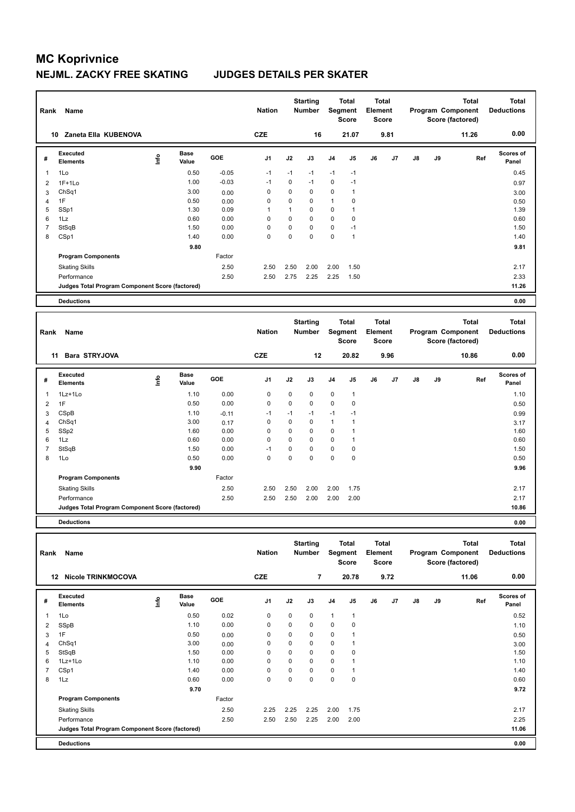| Rank           | Name                                            |      |                      |         | <b>Nation</b>  |              | <b>Starting</b><br>Number | <b>Segment</b> | <b>Total</b><br><b>Score</b> | Total<br>Element<br><b>Score</b> |                |               |    | <b>Total</b><br>Program Component<br>Score (factored) | <b>Total</b><br><b>Deductions</b> |
|----------------|-------------------------------------------------|------|----------------------|---------|----------------|--------------|---------------------------|----------------|------------------------------|----------------------------------|----------------|---------------|----|-------------------------------------------------------|-----------------------------------|
|                | 10 Zaneta Ella KUBENOVA                         |      |                      |         | <b>CZE</b>     |              | 16                        |                | 21.07                        |                                  | 9.81           |               |    | 11.26                                                 | 0.00                              |
| #              | <b>Executed</b><br><b>Elements</b>              | lnfo | <b>Base</b><br>Value | GOE     | J <sub>1</sub> | J2           | J3                        | J4             | J5                           | J6                               | J7             | $\mathsf{J}8$ | J9 | Ref                                                   | <b>Scores of</b><br>Panel         |
| 1              | 1Lo                                             |      | 0.50                 | $-0.05$ | $-1$           | $-1$         | $-1$                      | $-1$           | $-1$                         |                                  |                |               |    |                                                       | 0.45                              |
| $\overline{2}$ | $1F+1Lo$                                        |      | 1.00                 | $-0.03$ | $-1$           | 0            | $-1$                      | $\mathbf 0$    | $-1$                         |                                  |                |               |    |                                                       | 0.97                              |
| 3              | ChSq1                                           |      | 3.00                 | 0.00    | $\mathbf 0$    | 0            | $\mathbf 0$               | $\mathbf 0$    | $\mathbf{1}$                 |                                  |                |               |    |                                                       | 3.00                              |
| 4              | 1F                                              |      | 0.50                 | 0.00    | 0              | 0            | $\mathbf 0$               | $\mathbf{1}$   | 0                            |                                  |                |               |    |                                                       | 0.50                              |
| 5              | SSp1                                            |      | 1.30                 | 0.09    | $\mathbf{1}$   | $\mathbf{1}$ | $\mathbf 0$               | $\mathbf 0$    | $\mathbf{1}$                 |                                  |                |               |    |                                                       | 1.39                              |
| 6              | 1Lz                                             |      | 0.60                 | 0.00    | $\mathbf 0$    | $\pmb{0}$    | $\mathbf 0$               | $\mathbf 0$    | $\pmb{0}$                    |                                  |                |               |    |                                                       | 0.60                              |
| $\overline{7}$ | StSqB                                           |      | 1.50                 | 0.00    | $\Omega$       | 0            | $\Omega$                  | $\mathbf 0$    | $-1$                         |                                  |                |               |    |                                                       | 1.50                              |
| 8              | CSp1                                            |      | 1.40                 | 0.00    | 0              | 0            | $\mathbf 0$               | $\mathbf 0$    | $\mathbf{1}$                 |                                  |                |               |    |                                                       | 1.40                              |
|                |                                                 |      | 9.80                 |         |                |              |                           |                |                              |                                  |                |               |    |                                                       | 9.81                              |
|                | <b>Program Components</b>                       |      |                      | Factor  |                |              |                           |                |                              |                                  |                |               |    |                                                       |                                   |
|                | <b>Skating Skills</b>                           |      |                      | 2.50    | 2.50           | 2.50         | 2.00                      | 2.00           | 1.50                         |                                  |                |               |    |                                                       | 2.17                              |
|                | Performance                                     |      |                      | 2.50    | 2.50           | 2.75         | 2.25                      | 2.25           | 1.50                         |                                  |                |               |    |                                                       | 2.33                              |
|                | Judges Total Program Component Score (factored) |      |                      |         |                |              |                           |                |                              |                                  |                |               |    |                                                       | 11.26                             |
|                |                                                 |      |                      |         |                |              |                           |                |                              |                                  |                |               |    |                                                       | 0.00                              |
|                | <b>Deductions</b>                               |      |                      |         |                |              |                           |                |                              |                                  |                |               |    |                                                       |                                   |
|                |                                                 |      |                      |         |                |              | <b>Starting</b>           |                | <b>Total</b>                 | <b>Total</b>                     |                |               |    | <b>Total</b>                                          | <b>Total</b>                      |
| Rank           | Name                                            |      |                      |         | <b>Nation</b>  |              | Number                    |                | Segment<br><b>Score</b>      | Element<br>Score                 |                |               |    | Program Component<br>Score (factored)                 | <b>Deductions</b>                 |
|                | <b>Bara STRYJOVA</b><br>11                      |      |                      |         | <b>CZE</b>     |              | 12                        |                | 20.82                        |                                  | 9.96           |               |    | 10.86                                                 | 0.00                              |
| #              | <b>Executed</b><br><b>Elements</b>              | lnfo | <b>Base</b><br>Value | GOE     | J <sub>1</sub> | J2           | J3                        | J4             | J5                           | J6                               | J <sub>7</sub> | $\mathsf{J}8$ | J9 | Ref                                                   | Scores of<br>Panel                |
| 1              | 1Lz+1Lo                                         |      | 1.10                 | 0.00    | $\pmb{0}$      | 0            | 0                         | 0              | $\mathbf{1}$                 |                                  |                |               |    |                                                       | 1.10                              |
| $\overline{2}$ | 1F                                              |      | 0.50                 | 0.00    | $\mathbf 0$    | 0            | $\Omega$                  | $\mathbf 0$    | $\mathbf 0$                  |                                  |                |               |    |                                                       | 0.50                              |
| 3              | CSpB                                            |      | 1.10                 | $-0.11$ | $-1$           | $-1$         | $-1$                      | $-1$           | $-1$                         |                                  |                |               |    |                                                       | 0.99                              |
| 4              | ChSq1                                           |      | 3.00                 | 0.17    | $\mathbf 0$    | 0            | $\mathbf 0$               | $\mathbf{1}$   | $\mathbf{1}$                 |                                  |                |               |    |                                                       | 3.17                              |
| 5              | SSp2                                            |      | 1.60                 | 0.00    | $\mathbf 0$    | $\mathbf 0$  | $\mathbf 0$               | $\mathbf 0$    | $\mathbf{1}$                 |                                  |                |               |    |                                                       | 1.60                              |
| 6              | 1Lz                                             |      | 0.60                 | 0.00    | 0              | 0            | $\mathbf 0$               | $\mathbf 0$    | $\mathbf{1}$                 |                                  |                |               |    |                                                       | 0.60                              |
| $\overline{7}$ | StSqB                                           |      | 1.50                 | 0.00    | $-1$           | 0            | $\mathbf 0$               | $\mathbf 0$    | $\pmb{0}$                    |                                  |                |               |    |                                                       | 1.50                              |
| 8              | 1Lo                                             |      | 0.50                 | 0.00    | $\mathbf 0$    | 0            | $\mathbf 0$               | 0              | $\pmb{0}$                    |                                  |                |               |    |                                                       | 0.50                              |
|                |                                                 |      | 9.90                 |         |                |              |                           |                |                              |                                  |                |               |    |                                                       | 9.96                              |
|                | <b>Program Components</b>                       |      |                      | Factor  |                |              |                           |                |                              |                                  |                |               |    |                                                       |                                   |

**Deductions 0.00**

| Rank | Name                                            |      |                      |        | <b>Nation</b>  |      | <b>Starting</b><br>Number | Segment        | <b>Total</b><br><b>Score</b> | <b>Total</b><br>Element<br><b>Score</b> |      |               |    | <b>Total</b><br>Program Component<br>Score (factored) | <b>Total</b><br><b>Deductions</b> |
|------|-------------------------------------------------|------|----------------------|--------|----------------|------|---------------------------|----------------|------------------------------|-----------------------------------------|------|---------------|----|-------------------------------------------------------|-----------------------------------|
| 12   | <b>Nicole TRINKMOCOVA</b>                       |      |                      |        | <b>CZE</b>     |      | $\overline{7}$            |                | 20.78                        |                                         | 9.72 |               |    | 11.06                                                 | 0.00                              |
| #    | Executed<br><b>Elements</b>                     | ۱nfo | <b>Base</b><br>Value | GOE    | J <sub>1</sub> | J2   | J3                        | J <sub>4</sub> | J5                           | J6                                      | J7   | $\mathsf{J}8$ | J9 | Ref                                                   | <b>Scores of</b><br>Panel         |
| 1    | 1Lo                                             |      | 0.50                 | 0.02   | 0              | 0    | 0                         | $\mathbf{1}$   | 1                            |                                         |      |               |    |                                                       | 0.52                              |
| 2    | SSpB                                            |      | 1.10                 | 0.00   | 0              | 0    | 0                         | 0              | $\mathbf 0$                  |                                         |      |               |    |                                                       | 1.10                              |
| 3    | 1F                                              |      | 0.50                 | 0.00   | 0              | 0    | 0                         | 0              |                              |                                         |      |               |    |                                                       | 0.50                              |
| 4    | ChSq1                                           |      | 3.00                 | 0.00   | 0              | 0    | 0                         | $\pmb{0}$      |                              |                                         |      |               |    |                                                       | 3.00                              |
| 5    | StSqB                                           |      | 1.50                 | 0.00   | 0              | 0    | 0                         | $\mathbf 0$    | $\mathbf 0$                  |                                         |      |               |    |                                                       | 1.50                              |
| 6    | $1Lz+1Lo$                                       |      | 1.10                 | 0.00   | 0              | 0    | 0                         | 0              |                              |                                         |      |               |    |                                                       | 1.10                              |
| 7    | CSp1                                            |      | 1.40                 | 0.00   | 0              | 0    | 0                         | 0              |                              |                                         |      |               |    |                                                       | 1.40                              |
| 8    | 1Lz                                             |      | 0.60                 | 0.00   | 0              | 0    | 0                         | $\pmb{0}$      | $\mathbf 0$                  |                                         |      |               |    |                                                       | 0.60                              |
|      |                                                 |      | 9.70                 |        |                |      |                           |                |                              |                                         |      |               |    |                                                       | 9.72                              |
|      | <b>Program Components</b>                       |      |                      | Factor |                |      |                           |                |                              |                                         |      |               |    |                                                       |                                   |
|      | <b>Skating Skills</b>                           |      |                      | 2.50   | 2.25           | 2.25 | 2.25                      | 2.00           | 1.75                         |                                         |      |               |    |                                                       | 2.17                              |
|      | Performance                                     |      |                      | 2.50   | 2.50           | 2.50 | 2.25                      | 2.00           | 2.00                         |                                         |      |               |    |                                                       | 2.25                              |
|      | Judges Total Program Component Score (factored) |      |                      |        |                |      |                           |                |                              |                                         |      |               |    |                                                       | 11.06                             |
|      | <b>Deductions</b>                               |      |                      |        |                |      |                           |                |                              |                                         |      |               |    |                                                       | 0.00                              |

Skating Skills 2.50 2.50 2.00 2.00 1.75 2.50 2.17

Performance 2.50 2.50 2.50 2.00 2.00 2.00 2.17

**Judges Total Program Component Score (factored) 10.86**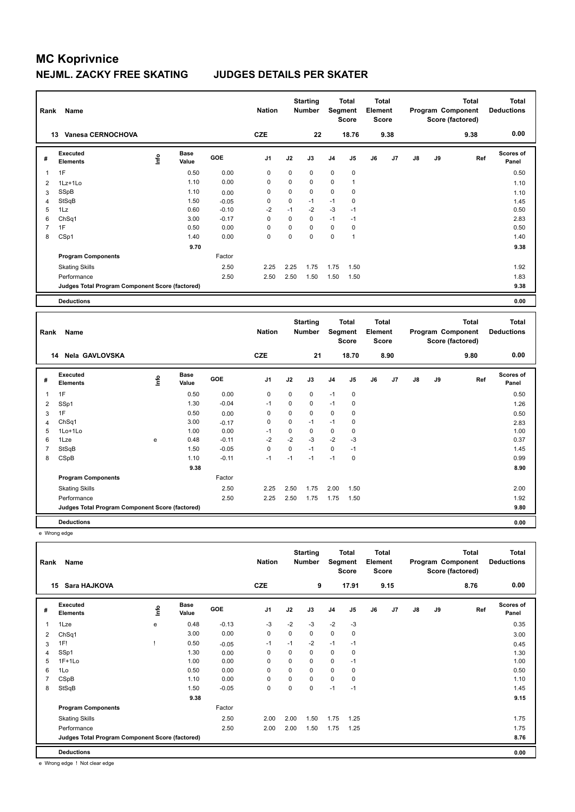| Rank           | Name                                            |      |                      |         | <b>Nation</b>  |             | <b>Starting</b><br><b>Number</b> |                | <b>Total</b><br>Segment<br><b>Score</b> | <b>Total</b><br>Element<br><b>Score</b> |      |    |    | <b>Total</b><br>Program Component<br>Score (factored) | <b>Total</b><br><b>Deductions</b> |
|----------------|-------------------------------------------------|------|----------------------|---------|----------------|-------------|----------------------------------|----------------|-----------------------------------------|-----------------------------------------|------|----|----|-------------------------------------------------------|-----------------------------------|
|                | Vanesa CERNOCHOVA<br>13                         |      |                      |         | <b>CZE</b>     |             | 22                               |                | 18.76                                   |                                         | 9.38 |    |    | 9.38                                                  | 0.00                              |
| #              | Executed<br><b>Elements</b>                     | lnfo | <b>Base</b><br>Value | GOE     | J <sub>1</sub> | J2          | J3                               | J <sub>4</sub> | J5                                      | J6                                      | J7   | J8 | J9 | Ref                                                   | <b>Scores of</b><br>Panel         |
| $\overline{1}$ | 1F                                              |      | 0.50                 | 0.00    | 0              | 0           | 0                                | 0              | 0                                       |                                         |      |    |    |                                                       | 0.50                              |
| $\overline{2}$ | $1Lz+1Lo$                                       |      | 1.10                 | 0.00    | $\Omega$       | 0           | $\Omega$                         | $\mathbf 0$    | 1                                       |                                         |      |    |    |                                                       | 1.10                              |
| 3              | SSpB                                            |      | 1.10                 | 0.00    | 0              | $\mathbf 0$ | $\mathbf 0$                      | 0              | $\pmb{0}$                               |                                         |      |    |    |                                                       | 1.10                              |
| $\overline{4}$ | StSqB                                           |      | 1.50                 | $-0.05$ | 0              | 0           | $-1$                             | $-1$           | 0                                       |                                         |      |    |    |                                                       | 1.45                              |
| 5              | 1Lz                                             |      | 0.60                 | $-0.10$ | $-2$           | $-1$        | $-2$                             | $-3$           | $-1$                                    |                                         |      |    |    |                                                       | 0.50                              |
| 6              | ChSq1                                           |      | 3.00                 | $-0.17$ | $\Omega$       | $\Omega$    | $\mathbf 0$                      | $-1$           | $-1$                                    |                                         |      |    |    |                                                       | 2.83                              |
| $\overline{7}$ | 1F                                              |      | 0.50                 | 0.00    | $\Omega$       | $\Omega$    | $\Omega$                         | $\mathbf 0$    | $\pmb{0}$                               |                                         |      |    |    |                                                       | 0.50                              |
| 8              | CSp1                                            |      | 1.40                 | 0.00    | $\mathbf 0$    | $\Omega$    | $\Omega$                         | $\mathbf 0$    | $\overline{1}$                          |                                         |      |    |    |                                                       | 1.40                              |
|                |                                                 |      | 9.70                 |         |                |             |                                  |                |                                         |                                         |      |    |    |                                                       | 9.38                              |
|                | <b>Program Components</b>                       |      |                      | Factor  |                |             |                                  |                |                                         |                                         |      |    |    |                                                       |                                   |
|                | <b>Skating Skills</b>                           |      |                      | 2.50    | 2.25           | 2.25        | 1.75                             | 1.75           | 1.50                                    |                                         |      |    |    |                                                       | 1.92                              |
|                | Performance                                     |      |                      | 2.50    | 2.50           | 2.50        | 1.50                             | 1.50           | 1.50                                    |                                         |      |    |    |                                                       | 1.83                              |
|                | Judges Total Program Component Score (factored) |      |                      |         |                |             |                                  |                |                                         |                                         |      |    |    |                                                       | 9.38                              |
|                | <b>Deductions</b>                               |      |                      |         |                |             |                                  |                |                                         |                                         |      |    |    |                                                       | 0.00                              |
|                |                                                 |      |                      |         |                |             |                                  |                |                                         |                                         |      |    |    |                                                       |                                   |
| Rank           | Name                                            |      |                      |         | <b>Nation</b>  |             | <b>Starting</b><br><b>Number</b> |                | <b>Total</b><br>Segment<br><b>Score</b> | <b>Total</b><br>Element<br><b>Score</b> |      |    |    | <b>Total</b><br>Program Component<br>Score (factored) | <b>Total</b><br><b>Deductions</b> |
|                | Nela GAVLOVSKA<br>14                            |      |                      |         | <b>CZE</b>     |             | 21                               |                | 18.70                                   |                                         | 8.90 |    |    | 9.80                                                  | 0.00                              |

**Value GOE J1 J2 J3 J4 J5 J6 J7 J8 J9** 

 **9.38 8.90**

2.50 2.25 2.50 1.75 2.00 1.50 2.00 2.00 2.00

1F 0.50 **Info**

 SSp1 1.30 -0.04 -1 0 0 -1 0 1.26 1F 0.50 0.00 0 0 0 0 0 0 0 0 0 0.50 0.50 ChSq1 3.00 -0.17 0 0 -1 -1 0 2.83 1Lo+1Lo 1.00 0.00 -1 0 0 0 0 1.00 1Lze e 0.48 -0.11 -2 -2 -3 -2 -3 0.37 StSqB 1.50 -0.05 0 0 -1 0 -1 1.45 CSpB 1.10 -0.11 -1 -1 -1 -1 0 0.99

**Scores of Panel**

**Ref** 

| Performance                                            | חם מ<br>ں ت | ・つに | 2.50<br>__ | - 74 | ن ، | 1.50 | 92،،<br>____ |
|--------------------------------------------------------|-------------|-----|------------|------|-----|------|--------------|
| <b>Judges Total Program Component Score (factored)</b> |             |     |            |      |     |      | 9.80         |

**Base** 

1 0.50 0.00 0 0 0 -1 0

Skating Skills **2.50** 2.25 2.50 1.75 2.00 1.50

Factor

**Deductions 0.00** e Wrong edge

**#** 

**Executed Elements** 

**Program Components** 

**Total Deductions Total Program Component Score (factored) Total Element Score Total Segment Score Starting Rank Name Nation Number # Executed Elements Base Value GOE J1 J2 J3 J4 J5 J6 J7 J8 J9 Scores of Panel** 1 0.48 -0.13 -3 -2 -3 -2 -3 **Ref**  1Lze e 0.35 **Info 15 Sara HAJKOVA CZE 9 17.91 9.15 8.76 0.00** 2 ChSq1 3.00 0.00 0 0 0 0 0 3.00  $3$  1F!  $1 \t 0.45$   $1 \t 0.05$   $1 \t 1 \t 1 \t 2 \t 1 \t 1 \t 1 \t 0.45$ 4 SSp1 1.30 0.00 0 0 0 0 0 1.30 5 1F+1Lo 1.00 0.00 0 0 0 0 -1 1.00 6 1Lo 0.50 0.00 0 0 0 0 0 0.50 7 CSpB 1.10 0.00 0 0 0 0 0 1.10 8 StSqB 1.50 -0.05 0 0 0 -1 -1 1.45  **9.38 9.15 Program Components**  Skating Skills 2.00 2.00 1.50 1.75 1.25 Factor 2.50 1.75 Performance 2.50 2.00 2.00 1.50 1.75 1.25 1.75 **Deductions 0.00 Judges Total Program Component Score (factored) 8.76**

e Wrong edge ! Not clear edge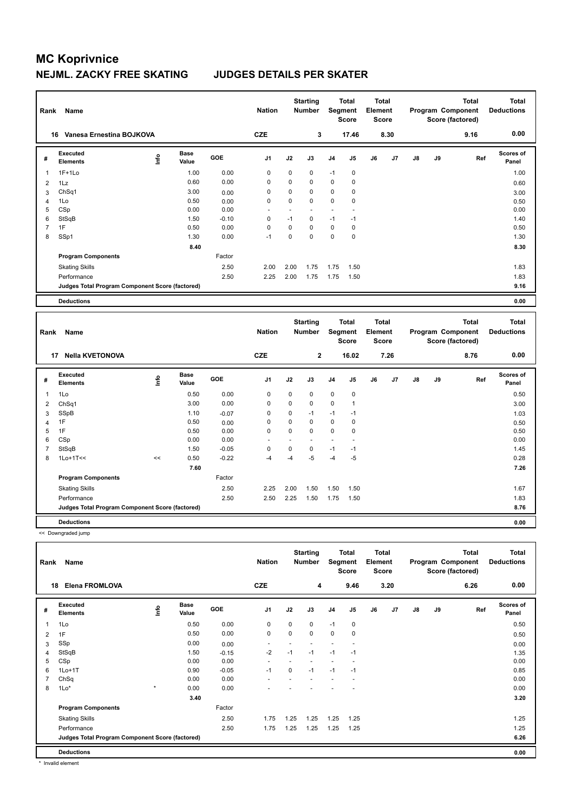| Rank<br>Name   |                                                 |      |                      | <b>Nation</b> |                | <b>Starting</b><br><b>Number</b> |                                  | <b>Total</b><br>Segment<br><b>Score</b> |                                         | <b>Total</b><br>Element<br><b>Score</b> |      | Program Component<br>Score (factored) | <b>Total</b>                          | <b>Total</b><br><b>Deductions</b> |                                   |
|----------------|-------------------------------------------------|------|----------------------|---------------|----------------|----------------------------------|----------------------------------|-----------------------------------------|-----------------------------------------|-----------------------------------------|------|---------------------------------------|---------------------------------------|-----------------------------------|-----------------------------------|
|                | Vanesa Ernestina BOJKOVA<br>16                  |      |                      |               | <b>CZE</b>     |                                  | 3                                |                                         | 17.46                                   |                                         | 8.30 |                                       |                                       | 9.16                              | 0.00                              |
| #              | Executed<br><b>Elements</b>                     | lnfo | <b>Base</b><br>Value | GOE           | J <sub>1</sub> | J2                               | J3                               | J <sub>4</sub>                          | J <sub>5</sub>                          | J6                                      | J7   | J8                                    | J9                                    | Ref                               | <b>Scores of</b><br>Panel         |
| $\overline{1}$ | $1F+1Lo$                                        |      | 1.00                 | 0.00          | 0              | 0                                | 0                                | $-1$                                    | 0                                       |                                         |      |                                       |                                       |                                   | 1.00                              |
| $\overline{2}$ | 1Lz                                             |      | 0.60                 | 0.00          | $\Omega$       | $\Omega$                         | $\Omega$                         | $\mathbf 0$                             | $\mathbf 0$                             |                                         |      |                                       |                                       |                                   | 0.60                              |
| 3              | ChSq1                                           |      | 3.00                 | 0.00          | $\mathbf 0$    | $\mathbf 0$                      | $\Omega$                         | $\mathbf 0$                             | $\mathbf 0$                             |                                         |      |                                       |                                       |                                   | 3.00                              |
| $\overline{4}$ | 1Lo                                             |      | 0.50                 | 0.00          | 0              | $\mathbf 0$                      | $\mathbf 0$                      | $\mathbf 0$                             | $\mathbf 0$                             |                                         |      |                                       |                                       |                                   | 0.50                              |
| 5              | CSp                                             |      | 0.00                 | 0.00          |                | $\ddot{\phantom{1}}$             |                                  | ٠                                       | ä,                                      |                                         |      |                                       |                                       |                                   | 0.00                              |
| 6              | StSqB                                           |      | 1.50                 | $-0.10$       | $\Omega$       | $-1$                             | $\Omega$                         | $-1$                                    | $-1$                                    |                                         |      |                                       |                                       |                                   | 1.40                              |
| $\overline{7}$ | 1F                                              |      | 0.50                 | 0.00          | $\Omega$       | $\mathbf 0$                      | $\Omega$                         | $\mathbf 0$                             | $\pmb{0}$                               |                                         |      |                                       |                                       |                                   | 0.50                              |
| 8              | SSp1                                            |      | 1.30                 | 0.00          | $-1$           | $\mathbf 0$                      | $\mathbf 0$                      | $\mathbf 0$                             | $\mathbf 0$                             |                                         |      |                                       |                                       |                                   | 1.30                              |
|                |                                                 |      | 8.40                 |               |                |                                  |                                  |                                         |                                         |                                         |      |                                       |                                       |                                   | 8.30                              |
|                | <b>Program Components</b>                       |      |                      | Factor        |                |                                  |                                  |                                         |                                         |                                         |      |                                       |                                       |                                   |                                   |
|                | <b>Skating Skills</b>                           |      |                      | 2.50          | 2.00           | 2.00                             | 1.75                             | 1.75                                    | 1.50                                    |                                         |      |                                       |                                       |                                   | 1.83                              |
|                | Performance                                     |      |                      | 2.50          | 2.25           | 2.00                             | 1.75                             | 1.75                                    | 1.50                                    |                                         |      |                                       |                                       |                                   | 1.83                              |
|                | Judges Total Program Component Score (factored) |      |                      |               |                |                                  |                                  |                                         |                                         |                                         |      |                                       |                                       |                                   | 9.16                              |
|                |                                                 |      |                      |               |                |                                  |                                  |                                         |                                         |                                         |      |                                       |                                       |                                   |                                   |
|                | <b>Deductions</b>                               |      |                      |               |                |                                  |                                  |                                         |                                         |                                         |      |                                       |                                       |                                   | 0.00                              |
| Rank           | Name                                            |      |                      |               | <b>Nation</b>  |                                  | <b>Starting</b><br><b>Number</b> |                                         | <b>Total</b><br>Segment<br><b>Score</b> | <b>Total</b><br>Element<br>Score        |      |                                       | Program Component<br>Score (factored) | <b>Total</b>                      | <b>Total</b><br><b>Deductions</b> |
| 17             | <b>Nella KVETONOVA</b>                          |      |                      |               | <b>CZE</b>     |                                  | $\mathbf 2$                      |                                         | 16.02                                   |                                         | 7.26 |                                       |                                       | 8.76                              | 0.00                              |
| #              | Executed<br><b>Elements</b>                     | lnfo | <b>Base</b><br>Value | GOE           | J <sub>1</sub> | J2                               | J3                               | J <sub>4</sub>                          | J <sub>5</sub>                          | J6                                      | J7   | J8                                    | J9                                    | Ref                               | <b>Scores of</b><br>Panel         |
| $\mathbf 1$    | 1Lo                                             |      | 0.50                 | 0.00          | 0              | 0                                | 0                                | 0                                       | 0                                       |                                         |      |                                       |                                       |                                   | 0.50                              |

 ChSq1 3.00 0.00 0 0 0 0 1 3.00 SSpB 1.10 -0.07 0 0 -1 -1 -1 1.03 4 1F 0.50 0.50 0.00 0 0 0 0 0 0 0 0 0.50 0.50 1F 0.50 0.00 0 0 0 0 0 0.50 CSp 0.00 0.00 - - - - - 0.00 StSqB 1.50 -0.05 0 0 0 -1 -1 1.45 1Lo+1T<< << 0.50 -0.22 -4 -4 -5 -4 -5 0.28

Skating Skills 2.25 2.00 1.50 1.50 1.50 2.50 1.67

Performance 2.50 2.50 2.25 1.50 1.75 1.50 1.83

**Judges Total Program Component Score (factored) 8.76**

 **7.60 7.26**

Factor

**Deductions 0.00** << Downgraded jump

**Program Components** 

| Name<br>Rank<br><b>Elena FROMLOVA</b><br>18 |                                                 |         |                      | <b>Nation</b><br><b>CZE</b> |                          | <b>Starting</b><br><b>Number</b><br>4 | Segment | <b>Total</b><br><b>Score</b><br>9.46 | <b>Total</b><br>Element<br><b>Score</b> | 3.20 |    |               | <b>Total</b><br>Program Component<br>Score (factored)<br>6.26 | <b>Total</b><br><b>Deductions</b><br>0.00 |                           |
|---------------------------------------------|-------------------------------------------------|---------|----------------------|-----------------------------|--------------------------|---------------------------------------|---------|--------------------------------------|-----------------------------------------|------|----|---------------|---------------------------------------------------------------|-------------------------------------------|---------------------------|
|                                             |                                                 |         |                      |                             |                          |                                       |         |                                      |                                         |      |    |               |                                                               |                                           |                           |
| #                                           | Executed<br><b>Elements</b>                     | ١nf٥    | <b>Base</b><br>Value | <b>GOE</b>                  | J <sub>1</sub>           | J2                                    | J3      | J <sub>4</sub>                       | J5                                      | J6   | J7 | $\mathsf{J}8$ | J9                                                            | Ref                                       | <b>Scores of</b><br>Panel |
| 1                                           | 1Lo                                             |         | 0.50                 | 0.00                        | 0                        | 0                                     | 0       | $-1$                                 | 0                                       |      |    |               |                                                               |                                           | 0.50                      |
| 2                                           | 1F                                              |         | 0.50                 | 0.00                        | $\mathbf 0$              | $\mathbf 0$                           | 0       | $\mathbf 0$                          | $\mathbf 0$                             |      |    |               |                                                               |                                           | 0.50                      |
| 3                                           | SSp                                             |         | 0.00                 | 0.00                        | $\overline{\phantom{a}}$ |                                       |         |                                      |                                         |      |    |               |                                                               |                                           | 0.00                      |
| 4                                           | StSqB                                           |         | 1.50                 | $-0.15$                     | $-2$                     | $-1$                                  | $-1$    | $-1$                                 | $-1$                                    |      |    |               |                                                               |                                           | 1.35                      |
| 5                                           | CSp                                             |         | 0.00                 | 0.00                        | $\overline{\phantom{a}}$ |                                       |         |                                      | $\overline{\phantom{a}}$                |      |    |               |                                                               |                                           | 0.00                      |
| 6                                           | $1Lo+1T$                                        |         | 0.90                 | $-0.05$                     | $-1$                     | $\Omega$                              | $-1$    | $-1$                                 | $-1$                                    |      |    |               |                                                               |                                           | 0.85                      |
| $\overline{7}$                              | ChSq                                            |         | 0.00                 | 0.00                        | $\overline{\phantom{a}}$ |                                       |         |                                      |                                         |      |    |               |                                                               |                                           | 0.00                      |
| 8                                           | $1Lo*$                                          | $\star$ | 0.00                 | 0.00                        |                          |                                       |         |                                      |                                         |      |    |               |                                                               |                                           | 0.00                      |
|                                             |                                                 |         | 3.40                 |                             |                          |                                       |         |                                      |                                         |      |    |               |                                                               |                                           | 3.20                      |
|                                             | <b>Program Components</b>                       |         |                      | Factor                      |                          |                                       |         |                                      |                                         |      |    |               |                                                               |                                           |                           |
|                                             | <b>Skating Skills</b>                           |         |                      | 2.50                        | 1.75                     | 1.25                                  | 1.25    | 1.25                                 | 1.25                                    |      |    |               |                                                               |                                           | 1.25                      |
|                                             | Performance                                     |         |                      | 2.50                        | 1.75                     | 1.25                                  | 1.25    | 1.25                                 | 1.25                                    |      |    |               |                                                               |                                           | 1.25                      |
|                                             | Judges Total Program Component Score (factored) |         |                      |                             |                          |                                       |         |                                      |                                         |      |    |               |                                                               |                                           | 6.26                      |
|                                             | <b>Deductions</b>                               |         |                      |                             |                          |                                       |         |                                      |                                         |      |    |               |                                                               |                                           | 0.00                      |

\* Invalid element